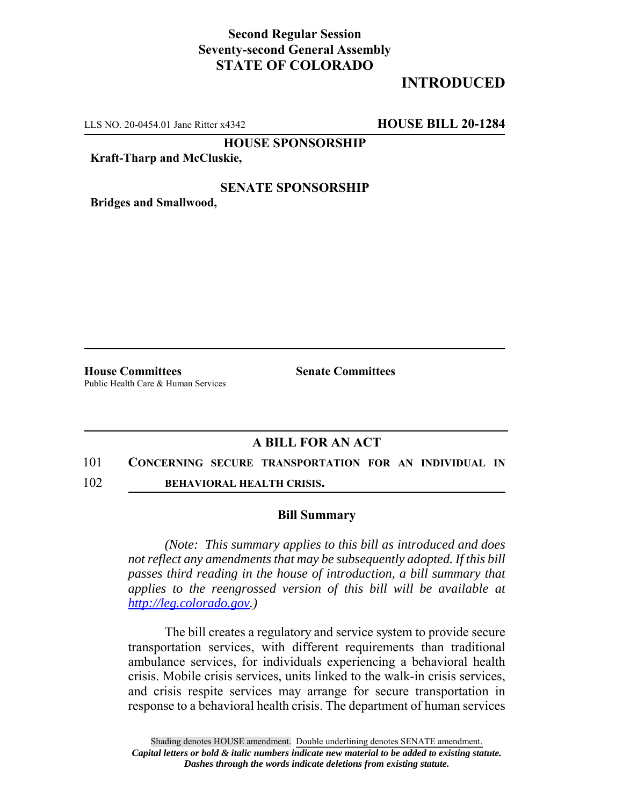## **Second Regular Session Seventy-second General Assembly STATE OF COLORADO**

# **INTRODUCED**

LLS NO. 20-0454.01 Jane Ritter x4342 **HOUSE BILL 20-1284**

**HOUSE SPONSORSHIP**

### **Kraft-Tharp and McCluskie,**

## **SENATE SPONSORSHIP**

**Bridges and Smallwood,**

**House Committees Senate Committees** Public Health Care & Human Services

## **A BILL FOR AN ACT**

#### 101 **CONCERNING SECURE TRANSPORTATION FOR AN INDIVIDUAL IN**

102 **BEHAVIORAL HEALTH CRISIS.**

### **Bill Summary**

*(Note: This summary applies to this bill as introduced and does not reflect any amendments that may be subsequently adopted. If this bill passes third reading in the house of introduction, a bill summary that applies to the reengrossed version of this bill will be available at http://leg.colorado.gov.)*

The bill creates a regulatory and service system to provide secure transportation services, with different requirements than traditional ambulance services, for individuals experiencing a behavioral health crisis. Mobile crisis services, units linked to the walk-in crisis services, and crisis respite services may arrange for secure transportation in response to a behavioral health crisis. The department of human services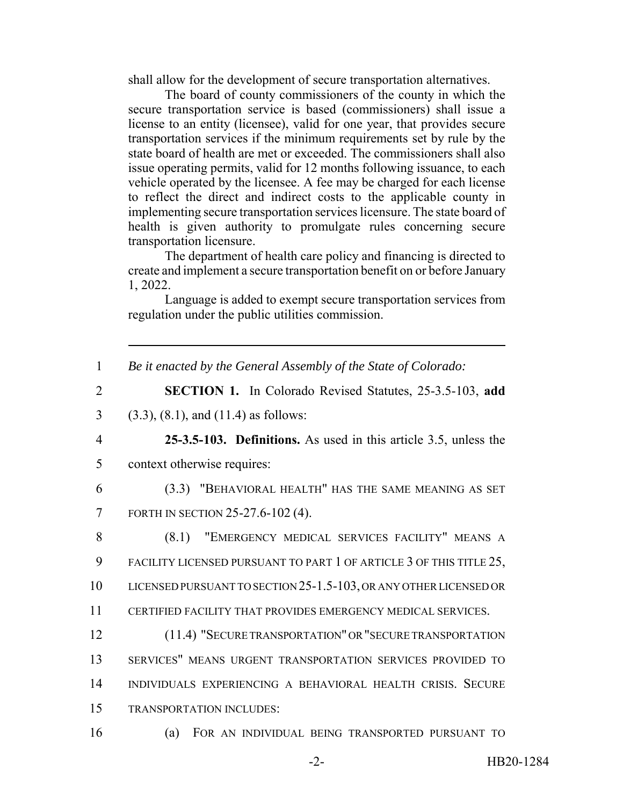shall allow for the development of secure transportation alternatives.

The board of county commissioners of the county in which the secure transportation service is based (commissioners) shall issue a license to an entity (licensee), valid for one year, that provides secure transportation services if the minimum requirements set by rule by the state board of health are met or exceeded. The commissioners shall also issue operating permits, valid for 12 months following issuance, to each vehicle operated by the licensee. A fee may be charged for each license to reflect the direct and indirect costs to the applicable county in implementing secure transportation services licensure. The state board of health is given authority to promulgate rules concerning secure transportation licensure.

The department of health care policy and financing is directed to create and implement a secure transportation benefit on or before January 1, 2022.

Language is added to exempt secure transportation services from regulation under the public utilities commission.

1 *Be it enacted by the General Assembly of the State of Colorado:*

2 **SECTION 1.** In Colorado Revised Statutes, 25-3.5-103, **add**

3 (3.3), (8.1), and (11.4) as follows:

4 **25-3.5-103. Definitions.** As used in this article 3.5, unless the 5 context otherwise requires:

6 (3.3) "BEHAVIORAL HEALTH" HAS THE SAME MEANING AS SET 7 FORTH IN SECTION 25-27.6-102 (4).

8 (8.1) "EMERGENCY MEDICAL SERVICES FACILITY" MEANS A 9 FACILITY LICENSED PURSUANT TO PART 1 OF ARTICLE 3 OF THIS TITLE 25, 10 LICENSED PURSUANT TO SECTION 25-1.5-103, OR ANY OTHER LICENSED OR

11 CERTIFIED FACILITY THAT PROVIDES EMERGENCY MEDICAL SERVICES.

 (11.4) "SECURE TRANSPORTATION" OR "SECURE TRANSPORTATION SERVICES" MEANS URGENT TRANSPORTATION SERVICES PROVIDED TO INDIVIDUALS EXPERIENCING A BEHAVIORAL HEALTH CRISIS. SECURE TRANSPORTATION INCLUDES:

16 (a) FOR AN INDIVIDUAL BEING TRANSPORTED PURSUANT TO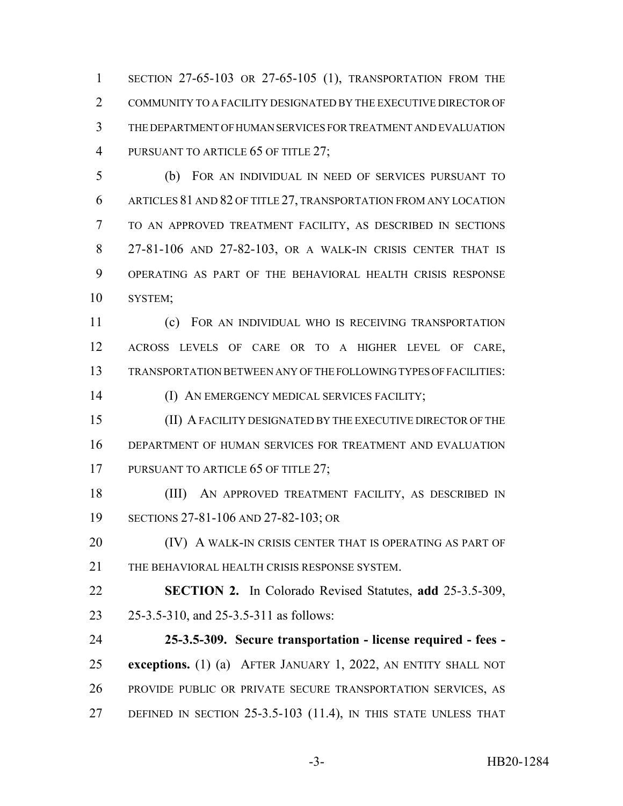SECTION 27-65-103 OR 27-65-105 (1), TRANSPORTATION FROM THE COMMUNITY TO A FACILITY DESIGNATED BY THE EXECUTIVE DIRECTOR OF THE DEPARTMENT OF HUMAN SERVICES FOR TREATMENT AND EVALUATION 4 PURSUANT TO ARTICLE 65 OF TITLE 27;

 (b) FOR AN INDIVIDUAL IN NEED OF SERVICES PURSUANT TO ARTICLES 81 AND 82 OF TITLE 27, TRANSPORTATION FROM ANY LOCATION TO AN APPROVED TREATMENT FACILITY, AS DESCRIBED IN SECTIONS 27-81-106 AND 27-82-103, OR A WALK-IN CRISIS CENTER THAT IS OPERATING AS PART OF THE BEHAVIORAL HEALTH CRISIS RESPONSE SYSTEM;

 (c) FOR AN INDIVIDUAL WHO IS RECEIVING TRANSPORTATION ACROSS LEVELS OF CARE OR TO A HIGHER LEVEL OF CARE, TRANSPORTATION BETWEEN ANY OF THE FOLLOWING TYPES OF FACILITIES:

(I) AN EMERGENCY MEDICAL SERVICES FACILITY;

 (II) A FACILITY DESIGNATED BY THE EXECUTIVE DIRECTOR OF THE DEPARTMENT OF HUMAN SERVICES FOR TREATMENT AND EVALUATION 17 PURSUANT TO ARTICLE 65 OF TITLE 27;

 (III) AN APPROVED TREATMENT FACILITY, AS DESCRIBED IN SECTIONS 27-81-106 AND 27-82-103; OR

**(IV) A WALK-IN CRISIS CENTER THAT IS OPERATING AS PART OF** THE BEHAVIORAL HEALTH CRISIS RESPONSE SYSTEM.

 **SECTION 2.** In Colorado Revised Statutes, **add** 25-3.5-309, 25-3.5-310, and 25-3.5-311 as follows:

 **25-3.5-309. Secure transportation - license required - fees - exceptions.** (1) (a) AFTER JANUARY 1, 2022, AN ENTITY SHALL NOT PROVIDE PUBLIC OR PRIVATE SECURE TRANSPORTATION SERVICES, AS DEFINED IN SECTION 25-3.5-103 (11.4), IN THIS STATE UNLESS THAT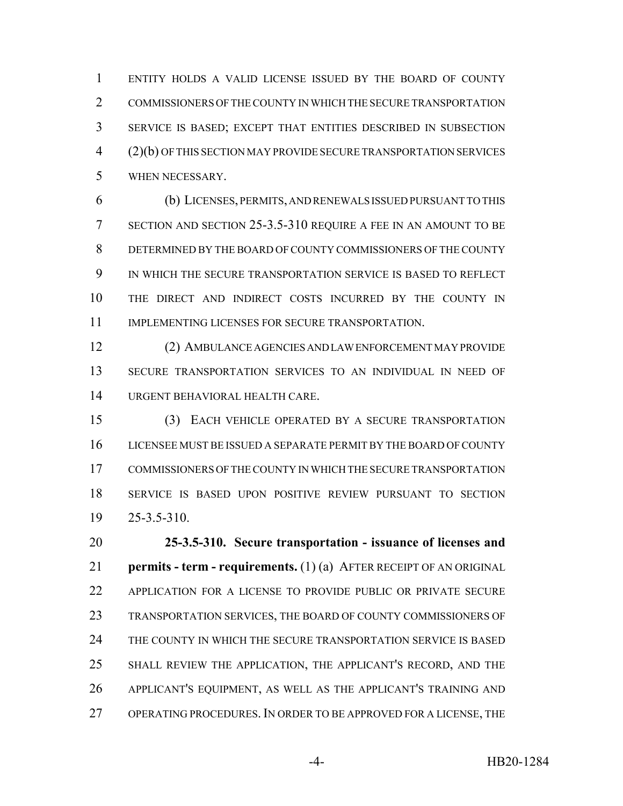ENTITY HOLDS A VALID LICENSE ISSUED BY THE BOARD OF COUNTY COMMISSIONERS OF THE COUNTY IN WHICH THE SECURE TRANSPORTATION SERVICE IS BASED; EXCEPT THAT ENTITIES DESCRIBED IN SUBSECTION (2)(b) OF THIS SECTION MAY PROVIDE SECURE TRANSPORTATION SERVICES WHEN NECESSARY.

 (b) LICENSES, PERMITS, AND RENEWALS ISSUED PURSUANT TO THIS SECTION AND SECTION 25-3.5-310 REQUIRE A FEE IN AN AMOUNT TO BE DETERMINED BY THE BOARD OF COUNTY COMMISSIONERS OF THE COUNTY IN WHICH THE SECURE TRANSPORTATION SERVICE IS BASED TO REFLECT THE DIRECT AND INDIRECT COSTS INCURRED BY THE COUNTY IN IMPLEMENTING LICENSES FOR SECURE TRANSPORTATION.

 (2) AMBULANCE AGENCIES AND LAW ENFORCEMENT MAY PROVIDE SECURE TRANSPORTATION SERVICES TO AN INDIVIDUAL IN NEED OF URGENT BEHAVIORAL HEALTH CARE.

 (3) EACH VEHICLE OPERATED BY A SECURE TRANSPORTATION LICENSEE MUST BE ISSUED A SEPARATE PERMIT BY THE BOARD OF COUNTY COMMISSIONERS OF THE COUNTY IN WHICH THE SECURE TRANSPORTATION SERVICE IS BASED UPON POSITIVE REVIEW PURSUANT TO SECTION 25-3.5-310.

 **25-3.5-310. Secure transportation - issuance of licenses and permits - term - requirements.** (1) (a) AFTER RECEIPT OF AN ORIGINAL APPLICATION FOR A LICENSE TO PROVIDE PUBLIC OR PRIVATE SECURE TRANSPORTATION SERVICES, THE BOARD OF COUNTY COMMISSIONERS OF THE COUNTY IN WHICH THE SECURE TRANSPORTATION SERVICE IS BASED SHALL REVIEW THE APPLICATION, THE APPLICANT'S RECORD, AND THE APPLICANT'S EQUIPMENT, AS WELL AS THE APPLICANT'S TRAINING AND OPERATING PROCEDURES. IN ORDER TO BE APPROVED FOR A LICENSE, THE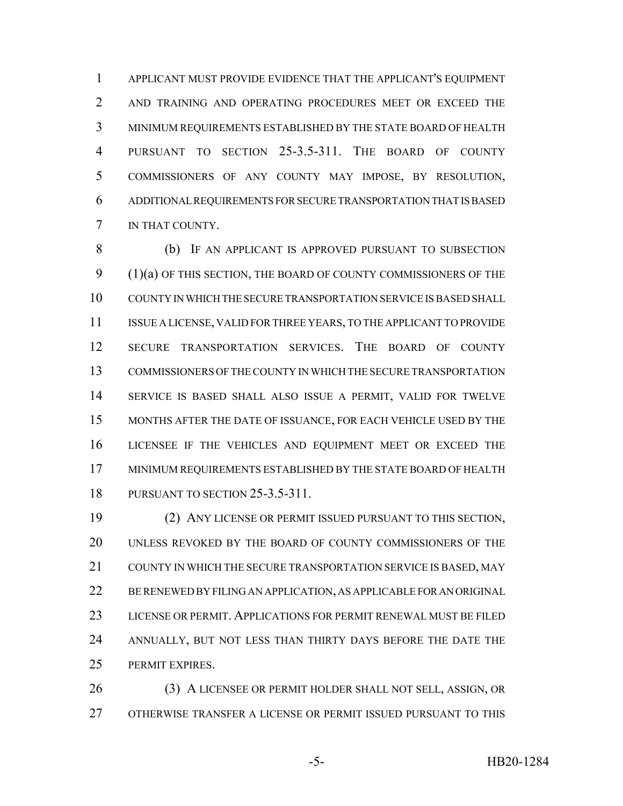APPLICANT MUST PROVIDE EVIDENCE THAT THE APPLICANT'S EQUIPMENT 2 AND TRAINING AND OPERATING PROCEDURES MEET OR EXCEED THE MINIMUM REQUIREMENTS ESTABLISHED BY THE STATE BOARD OF HEALTH PURSUANT TO SECTION 25-3.5-311. THE BOARD OF COUNTY COMMISSIONERS OF ANY COUNTY MAY IMPOSE, BY RESOLUTION, ADDITIONAL REQUIREMENTS FOR SECURE TRANSPORTATION THAT IS BASED IN THAT COUNTY.

 (b) IF AN APPLICANT IS APPROVED PURSUANT TO SUBSECTION 9 (1)(a) OF THIS SECTION, THE BOARD OF COUNTY COMMISSIONERS OF THE COUNTY IN WHICH THE SECURE TRANSPORTATION SERVICE IS BASED SHALL ISSUE A LICENSE, VALID FOR THREE YEARS, TO THE APPLICANT TO PROVIDE SECURE TRANSPORTATION SERVICES. THE BOARD OF COUNTY COMMISSIONERS OF THE COUNTY IN WHICH THE SECURE TRANSPORTATION SERVICE IS BASED SHALL ALSO ISSUE A PERMIT, VALID FOR TWELVE MONTHS AFTER THE DATE OF ISSUANCE, FOR EACH VEHICLE USED BY THE LICENSEE IF THE VEHICLES AND EQUIPMENT MEET OR EXCEED THE MINIMUM REQUIREMENTS ESTABLISHED BY THE STATE BOARD OF HEALTH PURSUANT TO SECTION 25-3.5-311.

 (2) ANY LICENSE OR PERMIT ISSUED PURSUANT TO THIS SECTION, UNLESS REVOKED BY THE BOARD OF COUNTY COMMISSIONERS OF THE COUNTY IN WHICH THE SECURE TRANSPORTATION SERVICE IS BASED, MAY BE RENEWED BY FILING AN APPLICATION, AS APPLICABLE FOR AN ORIGINAL LICENSE OR PERMIT. APPLICATIONS FOR PERMIT RENEWAL MUST BE FILED 24 ANNUALLY, BUT NOT LESS THAN THIRTY DAYS BEFORE THE DATE THE PERMIT EXPIRES.

 (3) A LICENSEE OR PERMIT HOLDER SHALL NOT SELL, ASSIGN, OR OTHERWISE TRANSFER A LICENSE OR PERMIT ISSUED PURSUANT TO THIS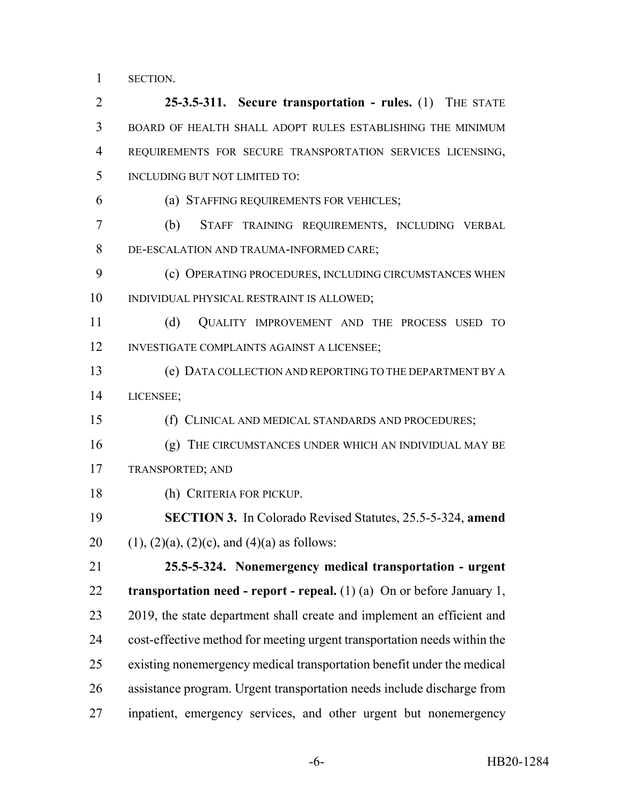SECTION.

 **25-3.5-311. Secure transportation - rules.** (1) THE STATE BOARD OF HEALTH SHALL ADOPT RULES ESTABLISHING THE MINIMUM REQUIREMENTS FOR SECURE TRANSPORTATION SERVICES LICENSING, INCLUDING BUT NOT LIMITED TO: (a) STAFFING REQUIREMENTS FOR VEHICLES; (b) STAFF TRAINING REQUIREMENTS, INCLUDING VERBAL DE-ESCALATION AND TRAUMA-INFORMED CARE; 9 (c) OPERATING PROCEDURES, INCLUDING CIRCUMSTANCES WHEN INDIVIDUAL PHYSICAL RESTRAINT IS ALLOWED; (d) QUALITY IMPROVEMENT AND THE PROCESS USED TO INVESTIGATE COMPLAINTS AGAINST A LICENSEE; (e) DATA COLLECTION AND REPORTING TO THE DEPARTMENT BY A LICENSEE; (f) CLINICAL AND MEDICAL STANDARDS AND PROCEDURES; (g) THE CIRCUMSTANCES UNDER WHICH AN INDIVIDUAL MAY BE TRANSPORTED; AND (h) CRITERIA FOR PICKUP. **SECTION 3.** In Colorado Revised Statutes, 25.5-5-324, **amend** 20 (1), (2)(a), (2)(c), and (4)(a) as follows: **25.5-5-324. Nonemergency medical transportation - urgent transportation need - report - repeal.** (1) (a) On or before January 1, 23 2019, the state department shall create and implement an efficient and cost-effective method for meeting urgent transportation needs within the existing nonemergency medical transportation benefit under the medical assistance program. Urgent transportation needs include discharge from inpatient, emergency services, and other urgent but nonemergency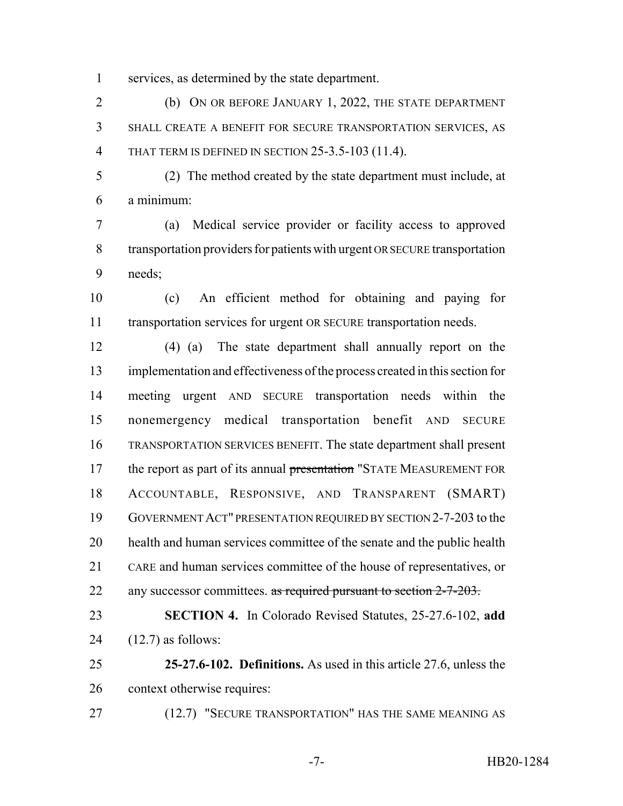services, as determined by the state department.

 (b) ON OR BEFORE JANUARY 1, 2022, THE STATE DEPARTMENT SHALL CREATE A BENEFIT FOR SECURE TRANSPORTATION SERVICES, AS THAT TERM IS DEFINED IN SECTION 25-3.5-103 (11.4).

 (2) The method created by the state department must include, at a minimum:

 (a) Medical service provider or facility access to approved transportation providers for patients with urgent OR SECURE transportation needs;

 (c) An efficient method for obtaining and paying for transportation services for urgent OR SECURE transportation needs.

 (4) (a) The state department shall annually report on the implementation and effectiveness of the process created in this section for meeting urgent AND SECURE transportation needs within the nonemergency medical transportation benefit AND SECURE TRANSPORTATION SERVICES BENEFIT. The state department shall present 17 the report as part of its annual presentation "STATE MEASUREMENT FOR ACCOUNTABLE, RESPONSIVE, AND TRANSPARENT (SMART) GOVERNMENT ACT" PRESENTATION REQUIRED BY SECTION 2-7-203 to the health and human services committee of the senate and the public health CARE and human services committee of the house of representatives, or 22 any successor committees. as required pursuant to section 2-7-203.

 **SECTION 4.** In Colorado Revised Statutes, 25-27.6-102, **add** (12.7) as follows:

 **25-27.6-102. Definitions.** As used in this article 27.6, unless the context otherwise requires:

27 (12.7) "SECURE TRANSPORTATION" HAS THE SAME MEANING AS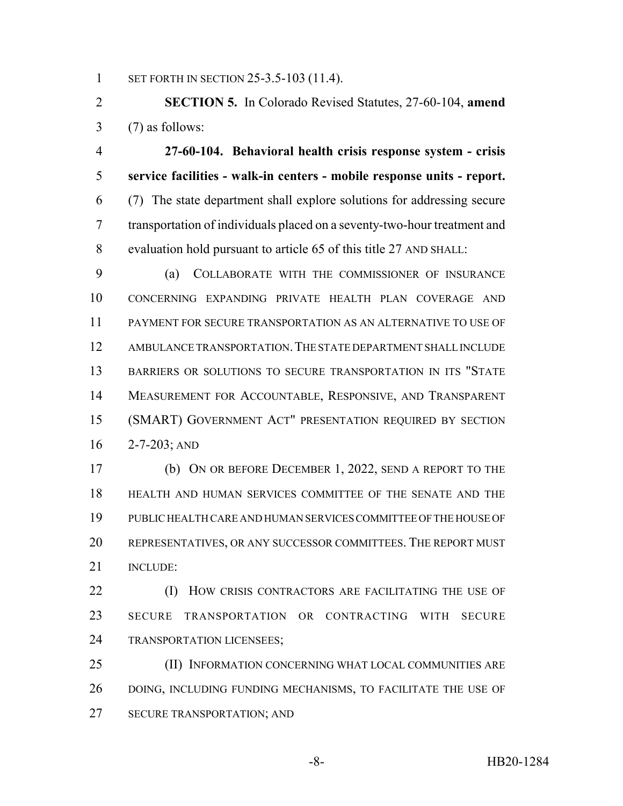1 SET FORTH IN SECTION 25-3.5-103 (11.4).

 **SECTION 5.** In Colorado Revised Statutes, 27-60-104, **amend** (7) as follows:

 **27-60-104. Behavioral health crisis response system - crisis service facilities - walk-in centers - mobile response units - report.** (7) The state department shall explore solutions for addressing secure transportation of individuals placed on a seventy-two-hour treatment and evaluation hold pursuant to article 65 of this title 27 AND SHALL:

 (a) COLLABORATE WITH THE COMMISSIONER OF INSURANCE CONCERNING EXPANDING PRIVATE HEALTH PLAN COVERAGE AND PAYMENT FOR SECURE TRANSPORTATION AS AN ALTERNATIVE TO USE OF AMBULANCE TRANSPORTATION.THE STATE DEPARTMENT SHALL INCLUDE BARRIERS OR SOLUTIONS TO SECURE TRANSPORTATION IN ITS "STATE MEASUREMENT FOR ACCOUNTABLE, RESPONSIVE, AND TRANSPARENT (SMART) GOVERNMENT ACT" PRESENTATION REQUIRED BY SECTION 2-7-203; AND

 (b) ON OR BEFORE DECEMBER 1, 2022, SEND A REPORT TO THE HEALTH AND HUMAN SERVICES COMMITTEE OF THE SENATE AND THE PUBLIC HEALTH CARE AND HUMAN SERVICES COMMITTEE OF THE HOUSE OF REPRESENTATIVES, OR ANY SUCCESSOR COMMITTEES. THE REPORT MUST INCLUDE:

**(I) HOW CRISIS CONTRACTORS ARE FACILITATING THE USE OF**  SECURE TRANSPORTATION OR CONTRACTING WITH SECURE TRANSPORTATION LICENSEES;

 (II) INFORMATION CONCERNING WHAT LOCAL COMMUNITIES ARE DOING, INCLUDING FUNDING MECHANISMS, TO FACILITATE THE USE OF SECURE TRANSPORTATION; AND